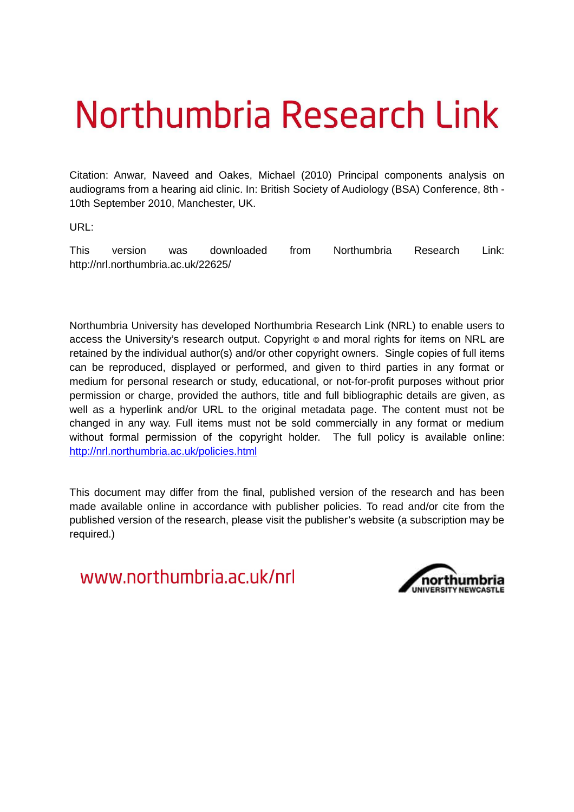# Northumbria Research Link

Citation: Anwar, Naveed and Oakes, Michael (2010) Principal components analysis on audiograms from a hearing aid clinic. In: British Society of Audiology (BSA) Conference, 8th - 10th September 2010, Manchester, UK.

URL:

This version was downloaded from Northumbria Research Link: http://nrl.northumbria.ac.uk/22625/

Northumbria University has developed Northumbria Research Link (NRL) to enable users to access the University's research output. Copyright  $\circ$  and moral rights for items on NRL are retained by the individual author(s) and/or other copyright owners. Single copies of full items can be reproduced, displayed or performed, and given to third parties in any format or medium for personal research or study, educational, or not-for-profit purposes without prior permission or charge, provided the authors, title and full bibliographic details are given, as well as a hyperlink and/or URL to the original metadata page. The content must not be changed in any way. Full items must not be sold commercially in any format or medium without formal permission of the copyright holder. The full policy is available online: <http://nrl.northumbria.ac.uk/policies.html>

This document may differ from the final, published version of the research and has been made available online in accordance with publisher policies. To read and/or cite from the published version of the research, please visit the publisher's website (a subscription may be required.)

www.northumbria.ac.uk/nrl

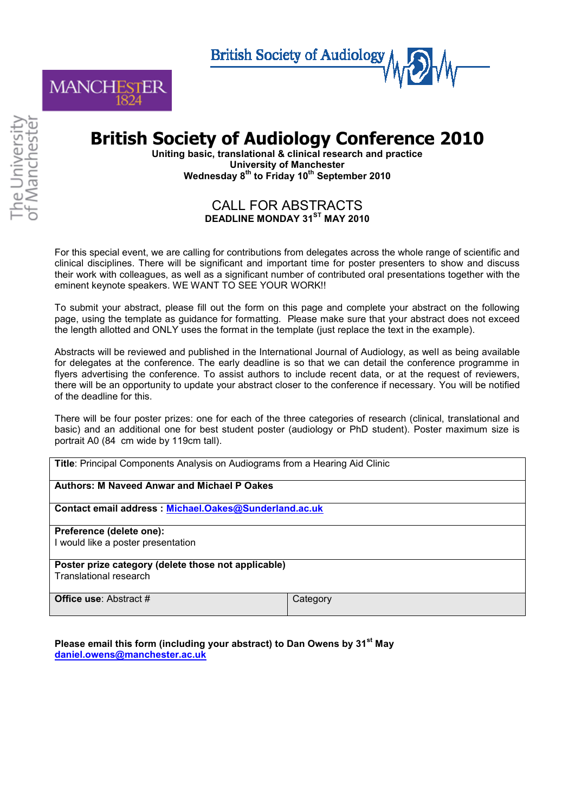**British Society of Audiology** 



## **British Society of Audiology Conference 2010**

**Uniting basic, translational & clinical research and practice University of Manchester Wednesday 8th to Friday 10th September 2010** 

### CALL FOR ABSTRACTS **DEADLINE MONDAY 31ST MAY 2010**

For this special event, we are calling for contributions from delegates across the whole range of scientific and clinical disciplines. There will be significant and important time for poster presenters to show and discuss their work with colleagues, as well as a significant number of contributed oral presentations together with the eminent keynote speakers. WE WANT TO SEE YOUR WORK!!

To submit your abstract, please fill out the form on this page and complete your abstract on the following page, using the template as guidance for formatting. Please make sure that your abstract does not exceed the length allotted and ONLY uses the format in the template (just replace the text in the example).

Abstracts will be reviewed and published in the International Journal of Audiology, as well as being available for delegates at the conference. The early deadline is so that we can detail the conference programme in flyers advertising the conference. To assist authors to include recent data, or at the request of reviewers, there will be an opportunity to update your abstract closer to the conference if necessary. You will be notified of the deadline for this.

There will be four poster prizes: one for each of the three categories of research (clinical, translational and basic) and an additional one for best student poster (audiology or PhD student). Poster maximum size is portrait A0 (84 cm wide by 119cm tall).

**Title**: Principal Components Analysis on Audiograms from a Hearing Aid Clinic

**Authors: M Naveed Anwar and Michael P Oakes** 

**Contact email address : [Michael.Oakes@Sunderland.ac.uk](mailto:Michael.Oakes@Sunderland.ac.uk)**

**Preference (delete one):**  I would like a poster presentation

**Poster prize category (delete those not applicable)**  Translational research

**Office use**: Abstract # Category

**Please email this form (including your abstract) to Dan Owens by 31st May [daniel.owens@manchester.ac.uk](mailto:daniel.owens@manchester.ac.uk)**